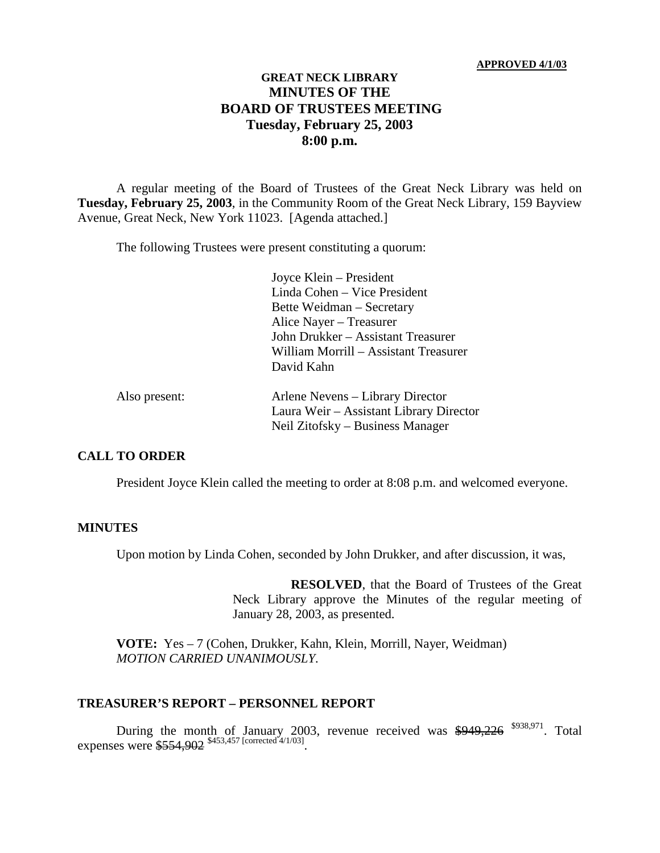#### **APPROVED 4/1/03**

### **GREAT NECK LIBRARY MINUTES OF THE BOARD OF TRUSTEES MEETING Tuesday, February 25, 2003 8:00 p.m.**

A regular meeting of the Board of Trustees of the Great Neck Library was held on **Tuesday, February 25, 2003**, in the Community Room of the Great Neck Library, 159 Bayview Avenue, Great Neck, New York 11023. [Agenda attached.]

The following Trustees were present constituting a quorum:

Joyce Klein – President Linda Cohen – Vice President Bette Weidman – Secretary Alice Nayer – Treasurer John Drukker – Assistant Treasurer William Morrill – Assistant Treasurer David Kahn

| Also present: | Arlene Nevens – Library Director        |
|---------------|-----------------------------------------|
|               | Laura Weir – Assistant Library Director |
|               | Neil Zitofsky – Business Manager        |

#### **CALL TO ORDER**

President Joyce Klein called the meeting to order at 8:08 p.m. and welcomed everyone.

#### **MINUTES**

Upon motion by Linda Cohen, seconded by John Drukker, and after discussion, it was,

**RESOLVED**, that the Board of Trustees of the Great Neck Library approve the Minutes of the regular meeting of January 28, 2003, as presented.

**VOTE:** Yes – 7 (Cohen, Drukker, Kahn, Klein, Morrill, Nayer, Weidman) *MOTION CARRIED UNANIMOUSLY.*

#### **TREASURER'S REPORT – PERSONNEL REPORT**

During the month of January 2003, revenue received was  $$949,226$   $$938,971$ . Total expenses were \$554,902 \$453,457 [corrected 4/1/03].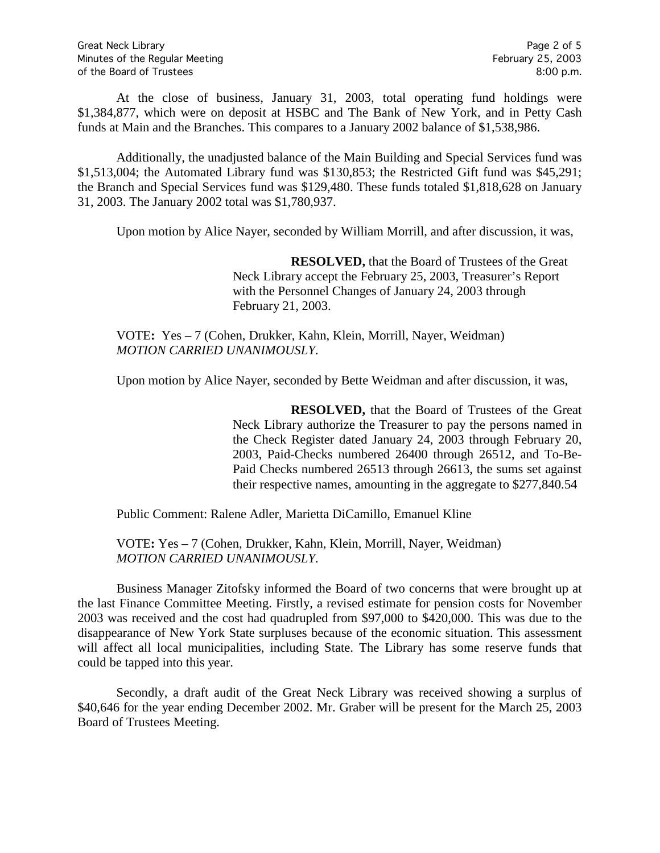At the close of business, January 31, 2003, total operating fund holdings were \$1,384,877, which were on deposit at HSBC and The Bank of New York, and in Petty Cash funds at Main and the Branches. This compares to a January 2002 balance of \$1,538,986.

Additionally, the unadjusted balance of the Main Building and Special Services fund was \$1,513,004; the Automated Library fund was \$130,853; the Restricted Gift fund was \$45,291; the Branch and Special Services fund was \$129,480. These funds totaled \$1,818,628 on January 31, 2003. The January 2002 total was \$1,780,937.

Upon motion by Alice Nayer, seconded by William Morrill, and after discussion, it was,

**RESOLVED,** that the Board of Trustees of the Great Neck Library accept the February 25, 2003, Treasurer's Report with the Personnel Changes of January 24, 2003 through February 21, 2003.

VOTE**:** Yes – 7 (Cohen, Drukker, Kahn, Klein, Morrill, Nayer, Weidman) *MOTION CARRIED UNANIMOUSLY.*

Upon motion by Alice Nayer, seconded by Bette Weidman and after discussion, it was,

**RESOLVED,** that the Board of Trustees of the Great Neck Library authorize the Treasurer to pay the persons named in the Check Register dated January 24, 2003 through February 20, 2003, Paid-Checks numbered 26400 through 26512, and To-Be-Paid Checks numbered 26513 through 26613, the sums set against their respective names, amounting in the aggregate to \$277,840.54

Public Comment: Ralene Adler, Marietta DiCamillo, Emanuel Kline

VOTE**:** Yes – 7 (Cohen, Drukker, Kahn, Klein, Morrill, Nayer, Weidman) *MOTION CARRIED UNANIMOUSLY.*

Business Manager Zitofsky informed the Board of two concerns that were brought up at the last Finance Committee Meeting. Firstly, a revised estimate for pension costs for November 2003 was received and the cost had quadrupled from \$97,000 to \$420,000. This was due to the disappearance of New York State surpluses because of the economic situation. This assessment will affect all local municipalities, including State. The Library has some reserve funds that could be tapped into this year.

Secondly, a draft audit of the Great Neck Library was received showing a surplus of \$40,646 for the year ending December 2002. Mr. Graber will be present for the March 25, 2003 Board of Trustees Meeting.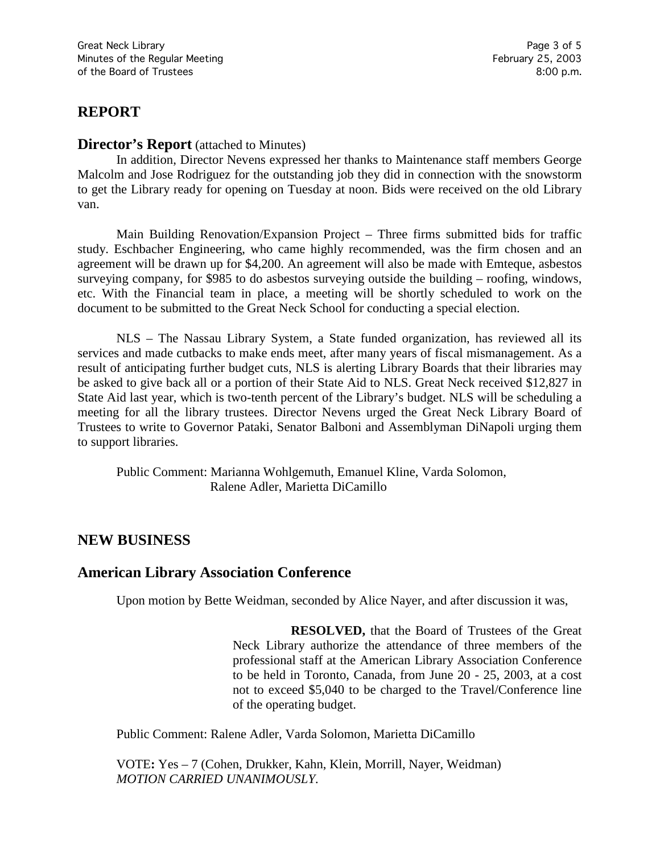# **REPORT**

#### **Director's Report** (attached to Minutes)

In addition, Director Nevens expressed her thanks to Maintenance staff members George Malcolm and Jose Rodriguez for the outstanding job they did in connection with the snowstorm to get the Library ready for opening on Tuesday at noon. Bids were received on the old Library van.

Main Building Renovation/Expansion Project – Three firms submitted bids for traffic study. Eschbacher Engineering, who came highly recommended, was the firm chosen and an agreement will be drawn up for \$4,200. An agreement will also be made with Emteque, asbestos surveying company, for \$985 to do asbestos surveying outside the building – roofing, windows, etc. With the Financial team in place, a meeting will be shortly scheduled to work on the document to be submitted to the Great Neck School for conducting a special election.

NLS – The Nassau Library System, a State funded organization, has reviewed all its services and made cutbacks to make ends meet, after many years of fiscal mismanagement. As a result of anticipating further budget cuts, NLS is alerting Library Boards that their libraries may be asked to give back all or a portion of their State Aid to NLS. Great Neck received \$12,827 in State Aid last year, which is two-tenth percent of the Library's budget. NLS will be scheduling a meeting for all the library trustees. Director Nevens urged the Great Neck Library Board of Trustees to write to Governor Pataki, Senator Balboni and Assemblyman DiNapoli urging them to support libraries.

Public Comment: Marianna Wohlgemuth, Emanuel Kline, Varda Solomon, Ralene Adler, Marietta DiCamillo

### **NEW BUSINESS**

### **American Library Association Conference**

Upon motion by Bette Weidman, seconded by Alice Nayer, and after discussion it was,

**RESOLVED,** that the Board of Trustees of the Great Neck Library authorize the attendance of three members of the professional staff at the American Library Association Conference to be held in Toronto, Canada, from June 20 - 25, 2003, at a cost not to exceed \$5,040 to be charged to the Travel/Conference line of the operating budget.

Public Comment: Ralene Adler, Varda Solomon, Marietta DiCamillo

VOTE**:** Yes – 7 (Cohen, Drukker, Kahn, Klein, Morrill, Nayer, Weidman) *MOTION CARRIED UNANIMOUSLY.*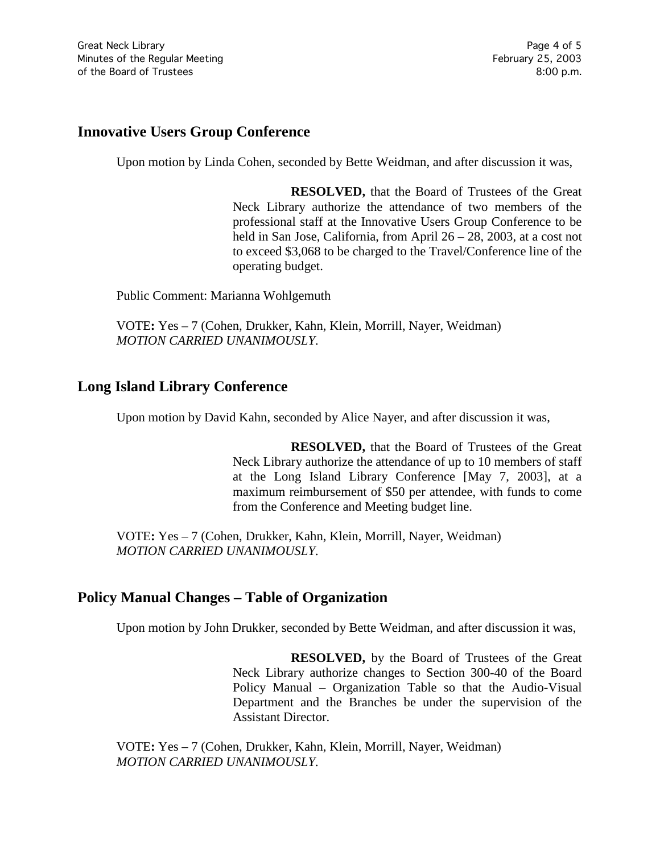## **Innovative Users Group Conference**

Upon motion by Linda Cohen, seconded by Bette Weidman, and after discussion it was,

**RESOLVED,** that the Board of Trustees of the Great Neck Library authorize the attendance of two members of the professional staff at the Innovative Users Group Conference to be held in San Jose, California, from April 26 – 28, 2003, at a cost not to exceed \$3,068 to be charged to the Travel/Conference line of the operating budget.

Public Comment: Marianna Wohlgemuth

VOTE**:** Yes – 7 (Cohen, Drukker, Kahn, Klein, Morrill, Nayer, Weidman) *MOTION CARRIED UNANIMOUSLY.*

# **Long Island Library Conference**

Upon motion by David Kahn, seconded by Alice Nayer, and after discussion it was,

**RESOLVED,** that the Board of Trustees of the Great Neck Library authorize the attendance of up to 10 members of staff at the Long Island Library Conference [May 7, 2003], at a maximum reimbursement of \$50 per attendee, with funds to come from the Conference and Meeting budget line.

VOTE**:** Yes – 7 (Cohen, Drukker, Kahn, Klein, Morrill, Nayer, Weidman) *MOTION CARRIED UNANIMOUSLY.*

### **Policy Manual Changes – Table of Organization**

Upon motion by John Drukker, seconded by Bette Weidman, and after discussion it was,

**RESOLVED,** by the Board of Trustees of the Great Neck Library authorize changes to Section 300-40 of the Board Policy Manual – Organization Table so that the Audio-Visual Department and the Branches be under the supervision of the Assistant Director.

VOTE**:** Yes – 7 (Cohen, Drukker, Kahn, Klein, Morrill, Nayer, Weidman) *MOTION CARRIED UNANIMOUSLY.*